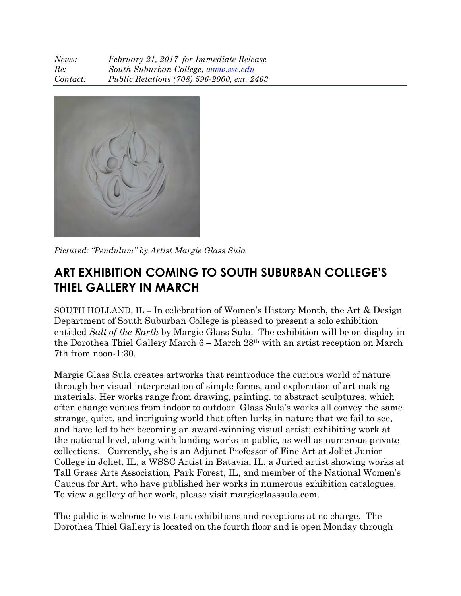| News:    | February 21, 2017-for Immediate Release    |
|----------|--------------------------------------------|
| Re:      | South Suburban College, www.ssc.edu        |
| Contact: | Public Relations (708) 596-2000, ext. 2463 |



*Pictured: "Pendulum" by Artist Margie Glass Sula*

## **ART EXHIBITION COMING TO SOUTH SUBURBAN COLLEGE'S THIEL GALLERY IN MARCH**

SOUTH HOLLAND, IL – In celebration of Women's History Month, the Art & Design Department of South Suburban College is pleased to present a solo exhibition entitled *Salt of the Earth* by Margie Glass Sula. The exhibition will be on display in the Dorothea Thiel Gallery March 6 – March 28th with an artist reception on March 7th from noon-1:30.

Margie Glass Sula creates artworks that reintroduce the curious world of nature through her visual interpretation of simple forms, and exploration of art making materials. Her works range from drawing, painting, to abstract sculptures, which often change venues from indoor to outdoor. Glass Sula's works all convey the same strange, quiet, and intriguing world that often lurks in nature that we fail to see, and have led to her becoming an award-winning visual artist; exhibiting work at the national level, along with landing works in public, as well as numerous private collections. Currently, she is an Adjunct Professor of Fine Art at Joliet Junior College in Joliet, IL, a WSSC Artist in Batavia, IL, a Juried artist showing works at Tall Grass Arts Association, Park Forest, IL, and member of the National Women's Caucus for Art, who have published her works in numerous exhibition catalogues. To view a gallery of her work, please visit margieglasssula.com.

The public is welcome to visit art exhibitions and receptions at no charge. The Dorothea Thiel Gallery is located on the fourth floor and is open Monday through